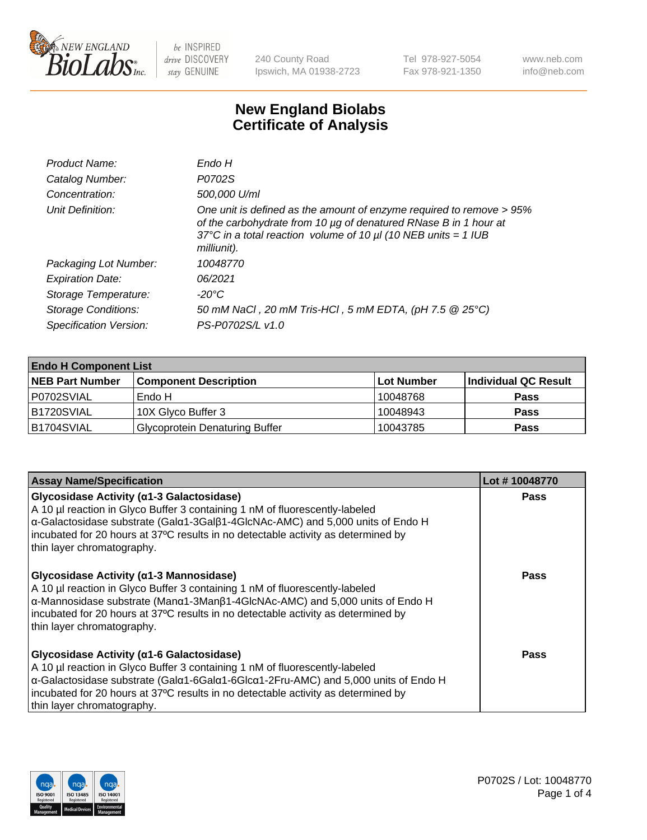

240 County Road Ipswich, MA 01938-2723 Tel 978-927-5054 Fax 978-921-1350 www.neb.com info@neb.com

## **New England Biolabs Certificate of Analysis**

| Product Name:              | Endo H                                                                                                                                                                                                                         |
|----------------------------|--------------------------------------------------------------------------------------------------------------------------------------------------------------------------------------------------------------------------------|
| Catalog Number:            | P0702S                                                                                                                                                                                                                         |
| Concentration:             | 500,000 U/ml                                                                                                                                                                                                                   |
| Unit Definition:           | One unit is defined as the amount of enzyme required to remove > 95%<br>of the carbohydrate from 10 µg of denatured RNase B in 1 hour at<br>37°C in a total reaction volume of 10 $\mu$ I (10 NEB units = 1 IUB<br>milliunit). |
| Packaging Lot Number:      | 10048770                                                                                                                                                                                                                       |
| <b>Expiration Date:</b>    | 06/2021                                                                                                                                                                                                                        |
| Storage Temperature:       | -20°C                                                                                                                                                                                                                          |
| <b>Storage Conditions:</b> | 50 mM NaCl, 20 mM Tris-HCl, 5 mM EDTA, (pH 7.5 @ 25°C)                                                                                                                                                                         |
| Specification Version:     | PS-P0702S/L v1.0                                                                                                                                                                                                               |

| <b>Endo H Component List</b> |                                       |             |                      |  |
|------------------------------|---------------------------------------|-------------|----------------------|--|
| <b>NEB Part Number</b>       | <b>Component Description</b>          | ∣Lot Number | Individual QC Result |  |
| P0702SVIAL                   | Endo H                                | 10048768    | <b>Pass</b>          |  |
| B1720SVIAL                   | 10X Glyco Buffer 3                    | 10048943    | <b>Pass</b>          |  |
| B1704SVIAL                   | <b>Glycoprotein Denaturing Buffer</b> | 10043785    | <b>Pass</b>          |  |

| <b>Assay Name/Specification</b>                                                                                                                                                                                                                                                                                                   | Lot #10048770 |
|-----------------------------------------------------------------------------------------------------------------------------------------------------------------------------------------------------------------------------------------------------------------------------------------------------------------------------------|---------------|
| Glycosidase Activity (α1-3 Galactosidase)<br>A 10 µl reaction in Glyco Buffer 3 containing 1 nM of fluorescently-labeled<br>α-Galactosidase substrate (Galα1-3Galβ1-4GlcNAc-AMC) and 5,000 units of Endo H<br>incubated for 20 hours at 37°C results in no detectable activity as determined by<br>thin layer chromatography.     | <b>Pass</b>   |
| Glycosidase Activity (α1-3 Mannosidase)<br>A 10 µl reaction in Glyco Buffer 3 containing 1 nM of fluorescently-labeled<br>α-Mannosidase substrate (Manα1-3Manβ1-4GlcNAc-AMC) and 5,000 units of Endo H<br>incubated for 20 hours at 37°C results in no detectable activity as determined by<br>thin layer chromatography.         | Pass          |
| Glycosidase Activity (α1-6 Galactosidase)<br>A 10 µl reaction in Glyco Buffer 3 containing 1 nM of fluorescently-labeled<br>α-Galactosidase substrate (Galα1-6Galα1-6Glcα1-2Fru-AMC) and 5,000 units of Endo H<br>incubated for 20 hours at 37°C results in no detectable activity as determined by<br>thin layer chromatography. | Pass          |

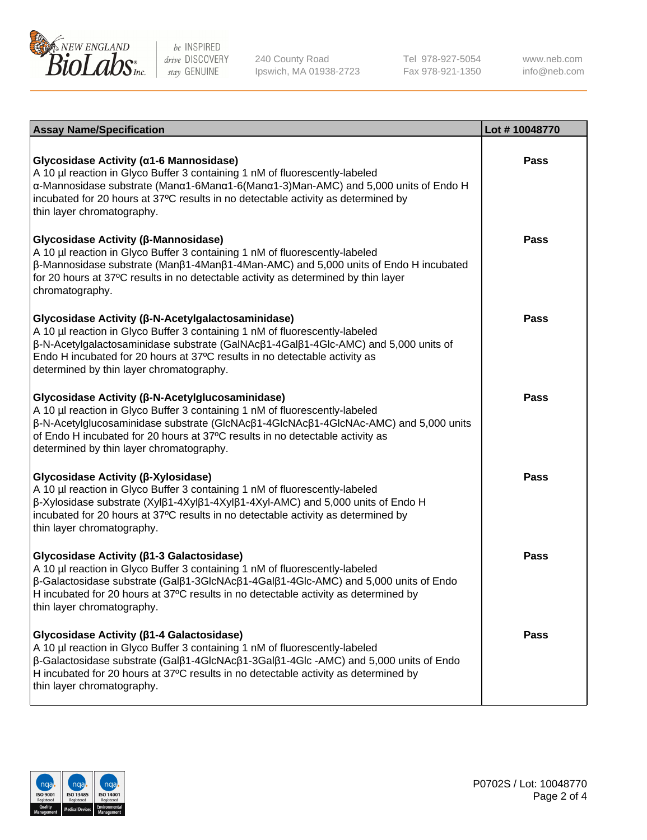

240 County Road Ipswich, MA 01938-2723 Tel 978-927-5054 Fax 978-921-1350

www.neb.com info@neb.com

| <b>Assay Name/Specification</b>                                                                                                                                                                                                                                                                                                                                      | Lot #10048770 |
|----------------------------------------------------------------------------------------------------------------------------------------------------------------------------------------------------------------------------------------------------------------------------------------------------------------------------------------------------------------------|---------------|
| Glycosidase Activity (α1-6 Mannosidase)<br>A 10 µl reaction in Glyco Buffer 3 containing 1 nM of fluorescently-labeled<br>α-Mannosidase substrate (Μanα1-6Μanα1-6(Μanα1-3)Man-AMC) and 5,000 units of Endo H<br>incubated for 20 hours at 37°C results in no detectable activity as determined by<br>thin layer chromatography.                                      | <b>Pass</b>   |
| Glycosidase Activity (β-Mannosidase)<br>A 10 µl reaction in Glyco Buffer 3 containing 1 nM of fluorescently-labeled<br>$\beta$ -Mannosidase substrate (Man $\beta$ 1-4Man $\beta$ 1-4Man-AMC) and 5,000 units of Endo H incubated<br>for 20 hours at 37°C results in no detectable activity as determined by thin layer<br>chromatography.                           | <b>Pass</b>   |
| Glycosidase Activity (β-N-Acetylgalactosaminidase)<br>A 10 µl reaction in Glyco Buffer 3 containing 1 nM of fluorescently-labeled<br>β-N-Acetylgalactosaminidase substrate (GalNAcβ1-4Galβ1-4Glc-AMC) and 5,000 units of<br>Endo H incubated for 20 hours at 37°C results in no detectable activity as<br>determined by thin layer chromatography.                   | <b>Pass</b>   |
| Glycosidase Activity (β-N-Acetylglucosaminidase)<br>A 10 µl reaction in Glyco Buffer 3 containing 1 nM of fluorescently-labeled<br>β-N-Acetylglucosaminidase substrate (GlcNAcβ1-4GlcNAcβ1-4GlcNAc-AMC) and 5,000 units<br>of Endo H incubated for 20 hours at 37°C results in no detectable activity as<br>determined by thin layer chromatography.                 | <b>Pass</b>   |
| Glycosidase Activity (β-Xylosidase)<br>A 10 µl reaction in Glyco Buffer 3 containing 1 nM of fluorescently-labeled<br>β-Xylosidase substrate (Xylβ1-4Xylβ1-4Xylβ1-4Xyl-AMC) and 5,000 units of Endo H<br>incubated for 20 hours at 37°C results in no detectable activity as determined by<br>thin layer chromatography.                                             | <b>Pass</b>   |
| Glycosidase Activity (β1-3 Galactosidase)<br>A 10 µl reaction in Glyco Buffer 3 containing 1 nM of fluorescently-labeled<br>$\beta$ -Galactosidase substrate (Gal $\beta$ 1-3GlcNAc $\beta$ 1-4Gal $\beta$ 1-4Glc-AMC) and 5,000 units of Endo<br>H incubated for 20 hours at 37°C results in no detectable activity as determined by<br>thin layer chromatography.  | <b>Pass</b>   |
| Glycosidase Activity (β1-4 Galactosidase)<br>A 10 µl reaction in Glyco Buffer 3 containing 1 nM of fluorescently-labeled<br>$\beta$ -Galactosidase substrate (Gal $\beta$ 1-4GlcNAc $\beta$ 1-3Gal $\beta$ 1-4Glc -AMC) and 5,000 units of Endo<br>H incubated for 20 hours at 37°C results in no detectable activity as determined by<br>thin layer chromatography. | <b>Pass</b>   |

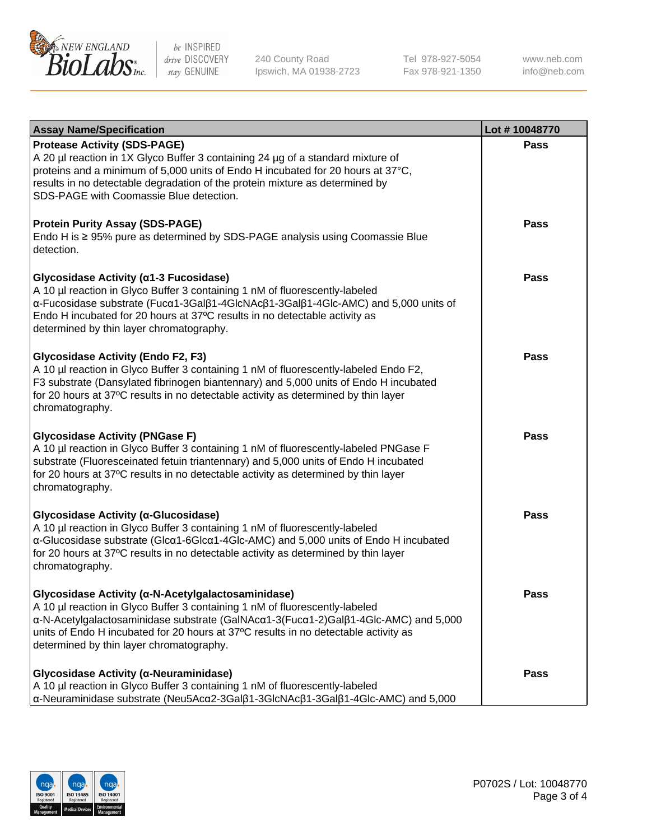

240 County Road Ipswich, MA 01938-2723 Tel 978-927-5054 Fax 978-921-1350 www.neb.com info@neb.com

| <b>Assay Name/Specification</b>                                                                                                                                                                                                                                                                                                                             | Lot #10048770 |
|-------------------------------------------------------------------------------------------------------------------------------------------------------------------------------------------------------------------------------------------------------------------------------------------------------------------------------------------------------------|---------------|
| <b>Protease Activity (SDS-PAGE)</b><br>A 20 µl reaction in 1X Glyco Buffer 3 containing 24 µg of a standard mixture of<br>proteins and a minimum of 5,000 units of Endo H incubated for 20 hours at 37°C,<br>results in no detectable degradation of the protein mixture as determined by<br>SDS-PAGE with Coomassie Blue detection.                        | Pass          |
| <b>Protein Purity Assay (SDS-PAGE)</b><br>Endo H is ≥ 95% pure as determined by SDS-PAGE analysis using Coomassie Blue<br>detection.                                                                                                                                                                                                                        | Pass          |
| Glycosidase Activity (α1-3 Fucosidase)<br>A 10 µl reaction in Glyco Buffer 3 containing 1 nM of fluorescently-labeled<br>α-Fucosidase substrate (Fucα1-3Galβ1-4GlcNAcβ1-3Galβ1-4Glc-AMC) and 5,000 units of<br>Endo H incubated for 20 hours at 37°C results in no detectable activity as<br>determined by thin layer chromatography.                       | <b>Pass</b>   |
| <b>Glycosidase Activity (Endo F2, F3)</b><br>A 10 µl reaction in Glyco Buffer 3 containing 1 nM of fluorescently-labeled Endo F2,<br>F3 substrate (Dansylated fibrinogen biantennary) and 5,000 units of Endo H incubated<br>for 20 hours at 37°C results in no detectable activity as determined by thin layer<br>chromatography.                          | Pass          |
| <b>Glycosidase Activity (PNGase F)</b><br>A 10 µl reaction in Glyco Buffer 3 containing 1 nM of fluorescently-labeled PNGase F<br>substrate (Fluoresceinated fetuin triantennary) and 5,000 units of Endo H incubated<br>for 20 hours at 37°C results in no detectable activity as determined by thin layer<br>chromatography.                              | Pass          |
| Glycosidase Activity (α-Glucosidase)<br>A 10 µl reaction in Glyco Buffer 3 containing 1 nM of fluorescently-labeled<br>α-Glucosidase substrate (Glcα1-6Glcα1-4Glc-AMC) and 5,000 units of Endo H incubated<br>for 20 hours at 37°C results in no detectable activity as determined by thin layer<br>chromatography.                                         | <b>Pass</b>   |
| Glycosidase Activity (α-N-Acetylgalactosaminidase)<br>A 10 µl reaction in Glyco Buffer 3 containing 1 nM of fluorescently-labeled<br>α-N-Acetylgalactosaminidase substrate (GalNAcα1-3(Fucα1-2)Galβ1-4Glc-AMC) and 5,000<br>units of Endo H incubated for 20 hours at 37°C results in no detectable activity as<br>determined by thin layer chromatography. | Pass          |
| Glycosidase Activity (α-Neuraminidase)<br>A 10 µl reaction in Glyco Buffer 3 containing 1 nM of fluorescently-labeled<br>α-Neuraminidase substrate (Neu5Acα2-3Galβ1-3GlcNAcβ1-3Galβ1-4Glc-AMC) and 5,000                                                                                                                                                    | Pass          |